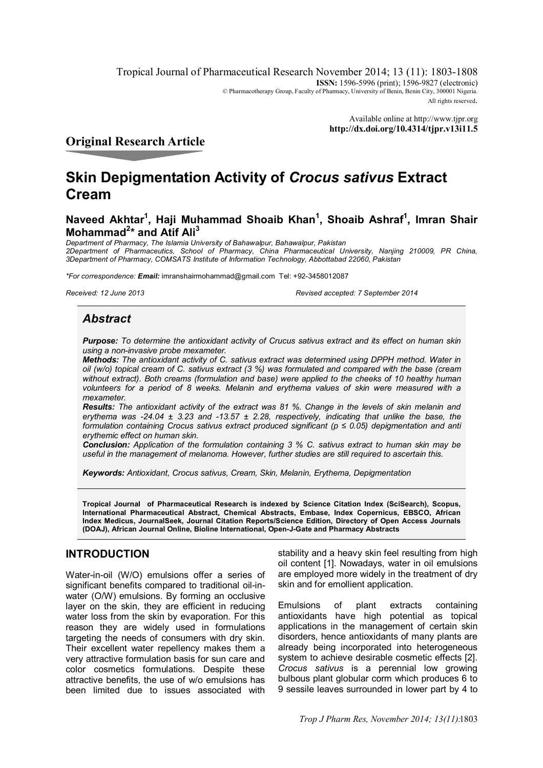Tropical Journal of Pharmaceutical Research November 2014; 13 (11): 1803-1808 **ISSN:** 1596-5996 (print); 1596-9827 (electronic) © Pharmacotherapy Group, Faculty of Pharmacy, University of Benin, Benin City, 300001 Nigeria. All rights reserved.

> Available online at http://www.tjpr.org **http://dx.doi.org/10.4314/tjpr.v13i11.5**

**Original Research Article**

# **Skin Depigmentation Activity of** *Crocus sativus* **Extract Cream**

# **Naveed Akhtar<sup>1</sup> , Haji Muhammad Shoaib Khan<sup>1</sup> , Shoaib Ashraf<sup>1</sup> , Imran Shair Mohammad<sup>2</sup> \* and Atif Ali<sup>3</sup>**

*Department of Pharmacy, The Islamia University of Bahawalpur, Bahawalpur, Pakistan 2Department of Pharmaceutics, School of Pharmacy, China Pharmaceutical University, Nanjing 210009, PR China, 3Department of Pharmacy, COMSATS Institute of Information Technology, Abbottabad 22060, Pakistan*

*\*For correspondence: Email:* imranshairmohammad@gmail.com Tel: +92-3458012087

*Received: 12 June 2013 Revised accepted: 7 September 2014*

# *Abstract*

*Purpose: To determine the antioxidant activity of Crucus sativus extract and its effect on human skin using a non-invasive probe mexameter.*

*Methods: The antioxidant activity of C. sativus extract was determined using DPPH method. Water in oil (w/o) topical cream of C. sativus extract (3 %) was formulated and compared with the base (cream without extract). Both creams (formulation and base) were applied to the cheeks of 10 healthy human volunteers for a period of 8 weeks. Melanin and erythema values of skin were measured with a mexameter.* 

*Results: The antioxidant activity of the extract was 81 %. Change in the levels of skin melanin and erythema was -24.04 ± 3.23 and -13.57 ± 2.28, respectively, indicating that unlike the base, the formulation containing Crocus sativus extract produced significant (p ≤ 0.05) depigmentation and anti erythemic effect on human skin.* 

*Conclusion: Application of the formulation containing 3 % C. sativus extract to human skin may be useful in the management of melanoma. However, further studies are still required to ascertain this.*

*Keywords: Antioxidant, Crocus sativus, Cream, Skin, Melanin, Erythema, Depigmentation*

**Tropical Journal of Pharmaceutical Research is indexed by Science Citation Index (SciSearch), Scopus, International Pharmaceutical Abstract, Chemical Abstracts, Embase, Index Copernicus, EBSCO, African Index Medicus, JournalSeek, Journal Citation Reports/Science Edition, Directory of Open Access Journals (DOAJ), African Journal Online, Bioline International, Open-J-Gate and Pharmacy Abstracts**

# **INTRODUCTION**

Water-in-oil (W/O) emulsions offer a series of significant benefits compared to traditional oil-inwater (O/W) emulsions. By forming an occlusive layer on the skin, they are efficient in reducing water loss from the skin by evaporation. For this reason they are widely used in formulations targeting the needs of consumers with dry skin. Their excellent water repellency makes them a very attractive formulation basis for sun care and color cosmetics formulations. Despite these attractive benefits, the use of w/o emulsions has been limited due to issues associated with

stability and a heavy skin feel resulting from high oil content [1]. Nowadays, water in oil emulsions are employed more widely in the treatment of dry skin and for emollient application.

Emulsions of plant extracts containing antioxidants have high potential as topical applications in the management of certain skin disorders, hence antioxidants of many plants are already being incorporated into heterogeneous system to achieve desirable cosmetic effects [2]. *Crocus sativus* is a perennial low growing bulbous plant globular corm which produces 6 to 9 sessile leaves surrounded in lower part by 4 to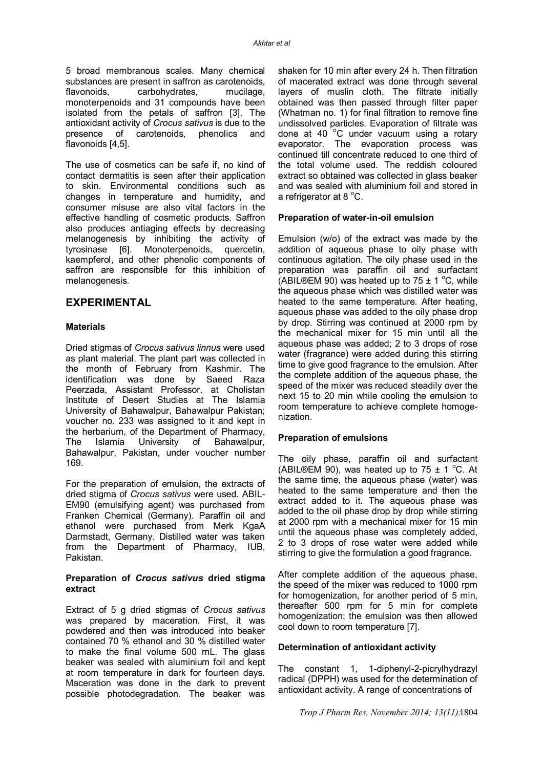5 broad membranous scales. Many chemical substances are present in saffron as carotenoids, flavonoids, carbohydrates, mucilage, monoterpenoids and 31 compounds have been isolated from the petals of saffron [3]. The antioxidant activity of *Crocus sativus* is due to the presence of carotenoids, phenolics and flavonoids [4,5].

The use of cosmetics can be safe if, no kind of contact dermatitis is seen after their application to skin. Environmental conditions such as changes in temperature and humidity, and consumer misuse are also vital factors in the effective handling of cosmetic products. Saffron also produces antiaging effects by decreasing melanogenesis by inhibiting the activity of tyrosinase [6]. Monoterpenoids, quercetin, kaempferol, and other phenolic components of saffron are responsible for this inhibition of melanogenesis.

# **EXPERIMENTAL**

## **Materials**

Dried stigmas of *Crocus sativus linnus* were used as plant material. The plant part was collected in the month of February from Kashmir. The identification was done by Saeed Raza Peerzada, Assistant Professor, at Cholistan Institute of Desert Studies at The Islamia University of Bahawalpur, Bahawalpur Pakistan; voucher no. 233 was assigned to it and kept in the herbarium, of the Department of Pharmacy, The Islamia University of Bahawalpur, Bahawalpur, Pakistan, under voucher number 169.

For the preparation of emulsion, the extracts of dried stigma of *Crocus sativus* were used. ABIL-EM90 (emulsifying agent) was purchased from Franken Chemical (Germany). Paraffin oil and ethanol were purchased from Merk KgaA Darmstadt, Germany. Distilled water was taken from the Department of Pharmacy, IUB, Pakistan.

#### **Preparation of** *Crocus sativus* **dried stigma extract**

Extract of 5 g dried stigmas of *Crocus sativus* was prepared by maceration. First, it was powdered and then was introduced into beaker contained 70 % ethanol and 30 % distilled water to make the final volume 500 mL. The glass beaker was sealed with aluminium foil and kept at room temperature in dark for fourteen days. Maceration was done in the dark to prevent possible photodegradation. The beaker was

shaken for 10 min after every 24 h. Then filtration of macerated extract was done through several layers of muslin cloth. The filtrate initially obtained was then passed through filter paper (Whatman no. 1) for final filtration to remove fine undissolved particles. Evaporation of filtrate was done at 40 $\degree$ C under vacuum using a rotary evaporator. The evaporation process was continued till concentrate reduced to one third of the total volume used. The reddish coloured extract so obtained was collected in glass beaker and was sealed with aluminium foil and stored in a refrigerator at  $8^{\circ}$ C.

# **Preparation of water-in-oil emulsion**

Emulsion (w/o) of the extract was made by the addition of aqueous phase to oily phase with continuous agitation. The oily phase used in the preparation was paraffin oil and surfactant (ABIL®EM 90) was heated up to 75  $\pm$  1 °C, while the aqueous phase which was distilled water was heated to the same temperature. After heating, aqueous phase was added to the oily phase drop by drop. Stirring was continued at 2000 rpm by the mechanical mixer for 15 min until all the aqueous phase was added; 2 to 3 drops of rose water (fragrance) were added during this stirring time to give good fragrance to the emulsion. After the complete addition of the aqueous phase, the speed of the mixer was reduced steadily over the next 15 to 20 min while cooling the emulsion to room temperature to achieve complete homogenization.

## **Preparation of emulsions**

The oily phase, paraffin oil and surfactant (ABIL®EM 90), was heated up to 75  $\pm$  1 °C. At the same time, the aqueous phase (water) was heated to the same temperature and then the extract added to it. The aqueous phase was added to the oil phase drop by drop while stirring at 2000 rpm with a mechanical mixer for 15 min until the aqueous phase was completely added, 2 to 3 drops of rose water were added while stirring to give the formulation a good fragrance.

After complete addition of the aqueous phase, the speed of the mixer was reduced to 1000 rpm for homogenization, for another period of 5 min, thereafter 500 rpm for 5 min for complete homogenization; the emulsion was then allowed cool down to room temperature [7].

## **Determination of antioxidant activity**

The constant 1, 1-diphenyl-2-picrylhydrazyl radical (DPPH) was used for the determination of antioxidant activity. A range of concentrations of

*Trop J Pharm Res, November 2014; 13(11):* 1804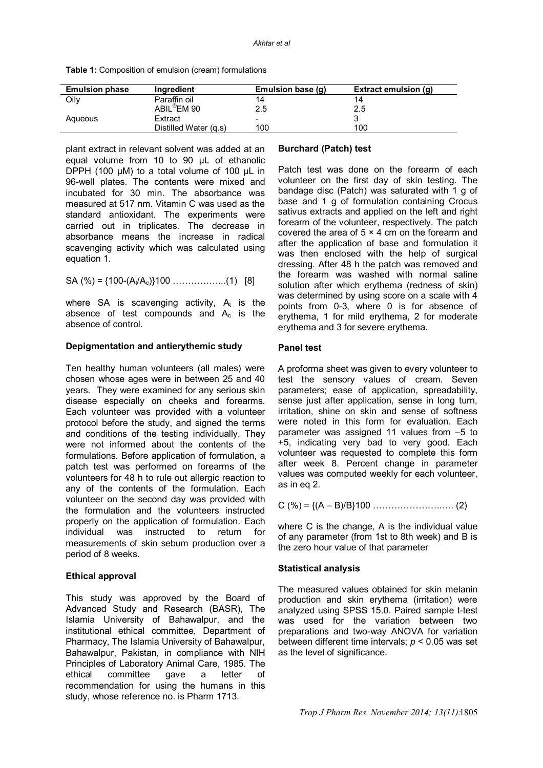**Table 1:** Composition of emulsion (cream) formulations

| <b>Emulsion phase</b> | Ingredient              | Emulsion base (g)        | Extract emulsion (g) |
|-----------------------|-------------------------|--------------------------|----------------------|
| Oilv                  | Paraffin oil            |                          |                      |
|                       | ABIL <sup>®</sup> EM 90 | 2.5                      | 2.5                  |
| Aqueous               | Extract                 | $\overline{\phantom{0}}$ |                      |
|                       | Distilled Water (g.s)   | 100                      | 100                  |

plant extract in relevant solvent was added at an equal volume from 10 to 90 µL of ethanolic DPPH (100 µM) to a total volume of 100 µL in 96-well plates. The contents were mixed and incubated for 30 min. The absorbance was measured at 517 nm. Vitamin C was used as the standard antioxidant. The experiments were carried out in triplicates. The decrease in absorbance means the increase in radical scavenging activity which was calculated using equation 1.

SA (%) = {100-(A<sub>t</sub>/A<sub>c</sub>)}100 …………………(1) [8]

where SA is scavenging activity,  $A_t$  is the absence of test compounds and  $A_c$  is the absence of control.

## **Depigmentation and antierythemic study**

Ten healthy human volunteers (all males) were chosen whose ages were in between 25 and 40 years. They were examined for any serious skin disease especially on cheeks and forearms. Each volunteer was provided with a volunteer protocol before the study, and signed the terms and conditions of the testing individually. They were not informed about the contents of the formulations. Before application of formulation, a patch test was performed on forearms of the volunteers for 48 h to rule out allergic reaction to any of the contents of the formulation. Each volunteer on the second day was provided with the formulation and the volunteers instructed properly on the application of formulation. Each individual was instructed to return for measurements of skin sebum production over a period of 8 weeks.

## **Ethical approval**

This study was approved by the Board of Advanced Study and Research (BASR), The Islamia University of Bahawalpur, and the institutional ethical committee, Department of Pharmacy, The Islamia University of Bahawalpur, Bahawalpur, Pakistan, in compliance with NIH Principles of Laboratory Animal Care, 1985. The ethical committee gave a letter of recommendation for using the humans in this study, whose reference no. is Pharm 1713.

# **Burchard (Patch) test**

Patch test was done on the forearm of each volunteer on the first day of skin testing. The bandage disc (Patch) was saturated with 1 g of base and 1 g of formulation containing Crocus sativus extracts and applied on the left and right forearm of the volunteer, respectively. The patch covered the area of  $5 \times 4$  cm on the forearm and after the application of base and formulation it was then enclosed with the help of surgical dressing. After 48 h the patch was removed and the forearm was washed with normal saline solution after which erythema (redness of skin) was determined by using score on a scale with 4 points from 0-3, where 0 is for absence of erythema, 1 for mild erythema, 2 for moderate erythema and 3 for severe erythema.

# **Panel test**

A proforma sheet was given to every volunteer to test the sensory values of cream. Seven parameters; ease of application, spreadability, sense just after application, sense in long turn, irritation, shine on skin and sense of softness were noted in this form for evaluation. Each parameter was assigned 11 values from –5 to +5, indicating very bad to very good. Each volunteer was requested to complete this form after week 8. Percent change in parameter values was computed weekly for each volunteer, as in eq 2.

$$
C (%) = \{(A - B)/B\}100
$$
................. (2)

where C is the change. A is the individual value of any parameter (from 1st to 8th week) and B is the zero hour value of that parameter

## **Statistical analysis**

The measured values obtained for skin melanin production and skin erythema (irritation) were analyzed using SPSS 15.0. Paired sample t-test was used for the variation between two preparations and two-way ANOVA for variation between different time intervals; *p* < 0.05 was set as the level of significance.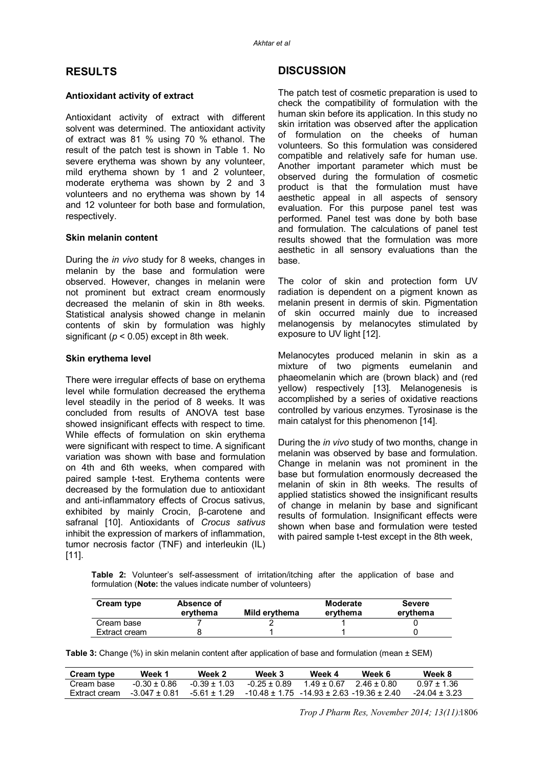# **RESULTS**

## **Antioxidant activity of extract**

Antioxidant activity of extract with different solvent was determined. The antioxidant activity of extract was 81 % using 70 % ethanol. The result of the patch test is shown in Table 1. No severe erythema was shown by any volunteer, mild erythema shown by 1 and 2 volunteer, moderate erythema was shown by 2 and 3 volunteers and no erythema was shown by 14 and 12 volunteer for both base and formulation, respectively.

#### **Skin melanin content**

During the *in vivo* study for 8 weeks, changes in melanin by the base and formulation were observed. However, changes in melanin were not prominent but extract cream enormously decreased the melanin of skin in 8th weeks. Statistical analysis showed change in melanin contents of skin by formulation was highly significant (*p* < 0.05) except in 8th week.

#### **Skin erythema level**

There were irregular effects of base on erythema level while formulation decreased the erythema level steadily in the period of 8 weeks. It was concluded from results of ANOVA test base showed insignificant effects with respect to time. While effects of formulation on skin erythema were significant with respect to time. A significant variation was shown with base and formulation on 4th and 6th weeks, when compared with paired sample t-test. Erythema contents were decreased by the formulation due to antioxidant and anti-inflammatory effects of Crocus sativus, exhibited by mainly Crocin, β-carotene and safranal [10]. Antioxidants of *Crocus sativus* inhibit the expression of markers of inflammation, tumor necrosis factor (TNF) and interleukin (IL)  $[11]$ .

# **DISCUSSION**

The patch test of cosmetic preparation is used to check the compatibility of formulation with the human skin before its application. In this study no skin irritation was observed after the application of formulation on the cheeks of human volunteers. So this formulation was considered compatible and relatively safe for human use. Another important parameter which must be observed during the formulation of cosmetic product is that the formulation must have aesthetic appeal in all aspects of sensory evaluation. For this purpose panel test was performed. Panel test was done by both base and formulation. The calculations of panel test results showed that the formulation was more aesthetic in all sensory evaluations than the base.

The color of skin and protection form UV radiation is dependent on a pigment known as melanin present in dermis of skin. Pigmentation of skin occurred mainly due to increased melanogensis by melanocytes stimulated by exposure to UV light [12].

Melanocytes produced melanin in skin as a mixture of two pigments eumelanin and phaeomelanin which are (brown black) and (red yellow) respectively [13]. Melanogenesis is accomplished by a series of oxidative reactions controlled by various enzymes. Tyrosinase is the main catalyst for this phenomenon [14].

During the *in vivo* study of two months, change in melanin was observed by base and formulation. Change in melanin was not prominent in the base but formulation enormously decreased the melanin of skin in 8th weeks. The results of applied statistics showed the insignificant results of change in melanin by base and significant results of formulation. Insignificant effects were shown when base and formulation were tested with paired sample t-test except in the 8th week,

**Table 2:** Volunteer's self-assessment of irritation/itching after the application of base and formulation (**Note:** the values indicate number of volunteers)

| Cream type    | Absence of<br>ervthema | Mild ervthema | Moderate<br>ervthema | <b>Severe</b><br>ervthema |
|---------------|------------------------|---------------|----------------------|---------------------------|
| Cream base    |                        |               |                      |                           |
| Extract cream |                        |               |                      |                           |

**Table 3:** Change (%) in skin melanin content after application of base and formulation (mean ± SEM)

| Cream type    | Week 1          | Week 2         | Week 3                                                | Week 4      | Week 6  | Week 8          |
|---------------|-----------------|----------------|-------------------------------------------------------|-------------|---------|-----------------|
| Cream base    | $-0.30 + 0.86$  | $-0.39 + 1.03$ | $-0.25 + 0.89$                                        | 1 49 + 0 67 | 246+080 | $0.97 + 1.36$   |
| Extract cream | $-3.047 + 0.81$ | $-561 + 129$   | $-10.48 \pm 1.75$ $-14.93 \pm 2.63$ $-19.36 \pm 2.40$ |             |         | $-24.04 + 3.23$ |

*Trop J Pharm Res, November 2014; 13(11):* 1806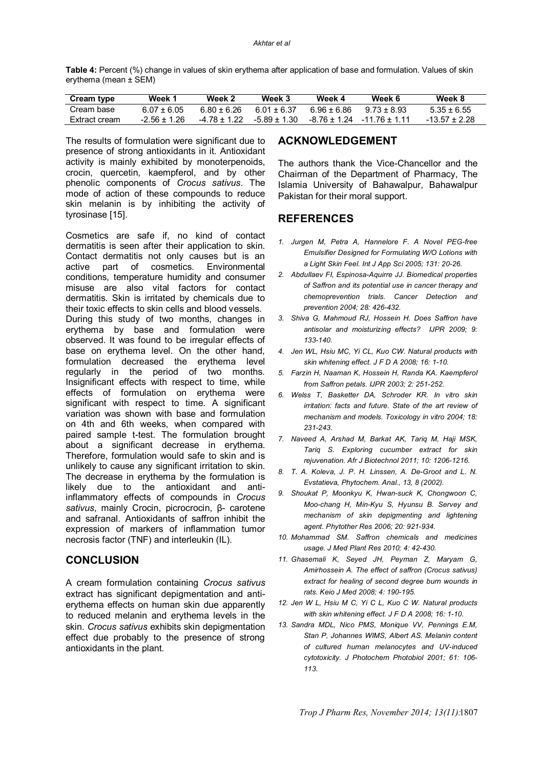**Table 4:** Percent (%) change in values of skin erythema after application of base and formulation. Values of skin erythema (mean ± SEM)

| <b>Cream type</b> | Week 1         | Week 2       | Week 3         | Week 4      | Week 6                        | Week 8          |
|-------------------|----------------|--------------|----------------|-------------|-------------------------------|-----------------|
| Cream base        | $6.07 + 6.05$  | 6.80 + 6.26  | 6.01 + 6.37    | 6.96 + 6.86 | $9.73 + 8.93$                 | $5.35 + 6.55$   |
| Extract cream     | $-2.56 + 1.26$ | -4 78 + 1 22 | $-5.89 + 1.30$ |             | $-8.76 + 1.24 - 11.76 + 1.11$ | $-13.57 + 2.28$ |

The results of formulation were significant due to presence of strong antioxidants in it. Antioxidant activity is mainly exhibited by monoterpenoids, crocin, quercetin, kaempferol, and by other phenolic components of *Crocus sativus*. The mode of action of these compounds to reduce skin melanin is by inhibiting the activity of tyrosinase [15].

Cosmetics are safe if, no kind of contact dermatitis is seen after their application to skin. Contact dermatitis not only causes but is an active part of cosmetics. Environmental conditions, temperature humidity and consumer misuse are also vital factors for contact dermatitis. Skin is irritated by chemicals due to their toxic effects to skin cells and blood vessels. During this study of two months, changes in erythema by base and formulation were observed. It was found to be irregular effects of base on erythema level. On the other hand, formulation decreased the erythema level regularly in the period of two months. Insignificant effects with respect to time, while effects of formulation on erythema were significant with respect to time. A significant variation was shown with base and formulation on 4th and 6th weeks, when compared with paired sample t-test. The formulation brought about a significant decrease in erythema. Therefore, formulation would safe to skin and is unlikely to cause any significant irritation to skin. The decrease in erythema by the formulation is likely due to the antioxidant and antiinflammatory effects of compounds in *Crocus sativus*, mainly Crocin, picrocrocin, β- carotene and safranal. Antioxidants of saffron inhibit the expression of markers of inflammation tumor necrosis factor (TNF) and interleukin (IL).

## **CONCLUSION**

A cream formulation containing *Crocus sativus* extract has significant depigmentation and antierythema effects on human skin due apparently to reduced melanin and erythema levels in the skin. *Crocus sativus* exhibits skin depigmentation effect due probably to the presence of strong antioxidants in the plant.

# **ACKNOWLEDGEMENT**

The authors thank the Vice-Chancellor and the Chairman of the Department of Pharmacy, The Islamia University of Bahawalpur, Bahawalpur Pakistan for their moral support.

# **REFERENCES**

- *1. Jurgen M, Petra A, Hannelore F. A Novel PEG-free Emulsifier Designed for Formulating W/O Lotions with a Light Skin Feel. Int J App Sci 2005; 131: 20-26.*
- *2. Abdullaev FI, Espinosa-Aquirre JJ. Biomedical properties of Saffron and its potential use in cancer therapy and chemoprevention trials. Cancer Detection and prevention 2004; 28: 426-432.*
- *3. Shiva G, Mahmoud RJ, Hossein H. Does Saffron have antisolar and moisturizing effects? IJPR 2009; 9: 133-140.*
- *4. Jen WL, Hsiu MC, Yi CL, Kuo CW. Natural products with skin whitening effect. J F D A 2008; 16: 1-10.*
- *5. Farzin H, Naaman K, Hossein H, Randa KA. Kaempferol from Saffron petals. IJPR 2003; 2: 251-252.*
- *6. Welss T, Basketter DA, Schroder KR. In vitro skin irritation: facts and future. State of the art review of mechanism and models. Toxicology in vitro 2004; 18: 231-243.*
- *7. Naveed A, Arshad M, Barkat AK, Tariq M, Haji MSK, Tariq S. Exploring cucumber extract for skin rejuvenation. Afr J Biotechnol 2011; 10: 1206-1216.*
- *8. T. A. Koleva, J. P. H. Linssen, A. De-Groot and L. N. Evstatieva, Phytochem. Anal., 13, 8 (2002).*
- *9. Shoukat P, Moonkyu K, Hwan-suck K, Chongwoon C, Moo-chang H, Min-Kyu S, Hyunsu B. Servey and mechanism of skin depigmenting and lightening agent. Phytother Res 2006; 20: 921-934.*
- *10. Mohammad SM. Saffron chemicals and medicines usage. J Med Plant Res 2010; 4: 42-430.*
- *11. Ghasemali K, Seyed JH, Peyman Z, Maryam G, Amirhossein A. The effect of saffron (Crocus sativus) extract for healing of second degree burn wounds in rats. Keio J Med 2008; 4: 190-195.*
- *12. Jen W L, Hsiu M C, Yi C L, Kuo C W. Natural products with skin whitening effect. J F D A 2008; 16: 1-10.*
- *13. Sandra MDL, Nico PMS, Monique VV, Pennings E.M, Stan P, Johannes WIMS, Albert AS. Melanin content of cultured human melanocytes and UV-induced cytotoxicity. J Photochem Photobiol 2001; 61: 106- 113.*